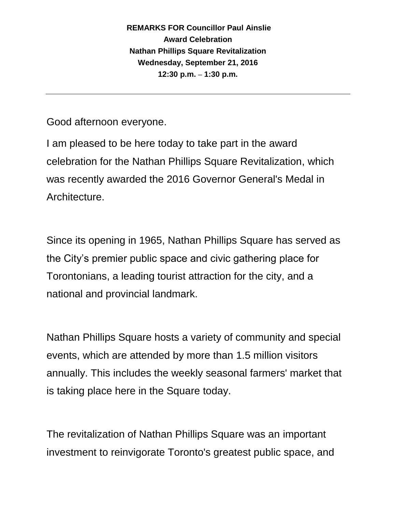Good afternoon everyone.

I am pleased to be here today to take part in the award celebration for the Nathan Phillips Square Revitalization, which was recently awarded the 2016 Governor General's Medal in Architecture.

Since its opening in 1965, Nathan Phillips Square has served as the City's premier public space and civic gathering place for Torontonians, a leading tourist attraction for the city, and a national and provincial landmark.

Nathan Phillips Square hosts a variety of community and special events, which are attended by more than 1.5 million visitors annually. This includes the weekly seasonal farmers' market that is taking place here in the Square today.

The revitalization of Nathan Phillips Square was an important investment to reinvigorate Toronto's greatest public space, and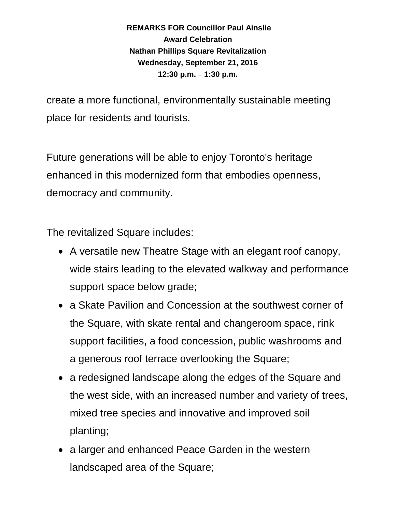create a more functional, environmentally sustainable meeting place for residents and tourists.

Future generations will be able to enjoy Toronto's heritage enhanced in this modernized form that embodies openness, democracy and community.

The revitalized Square includes:

- A versatile new Theatre Stage with an elegant roof canopy, wide stairs leading to the elevated walkway and performance support space below grade;
- a Skate Pavilion and Concession at the southwest corner of the Square, with skate rental and changeroom space, rink support facilities, a food concession, public washrooms and a generous roof terrace overlooking the Square;
- a redesigned landscape along the edges of the Square and the west side, with an increased number and variety of trees, mixed tree species and innovative and improved soil planting;
- a larger and enhanced Peace Garden in the western landscaped area of the Square;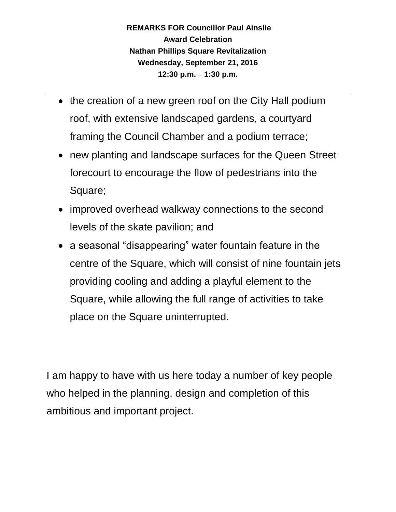- the creation of a new green roof on the City Hall podium roof, with extensive landscaped gardens, a courtyard framing the Council Chamber and a podium terrace;
- new planting and landscape surfaces for the Queen Street forecourt to encourage the flow of pedestrians into the Square;
- improved overhead walkway connections to the second levels of the skate pavilion; and
- a seasonal "disappearing" water fountain feature in the centre of the Square, which will consist of nine fountain jets providing cooling and adding a playful element to the Square, while allowing the full range of activities to take place on the Square uninterrupted.

I am happy to have with us here today a number of key people who helped in the planning, design and completion of this ambitious and important project.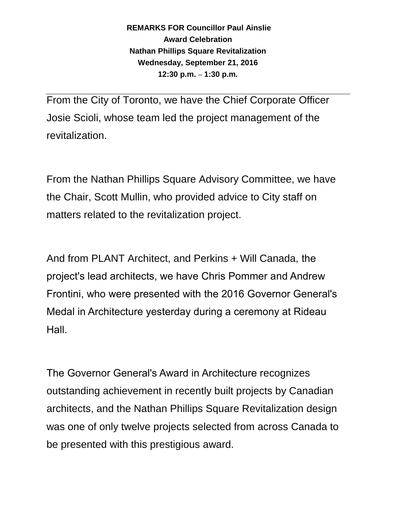From the City of Toronto, we have the Chief Corporate Officer Josie Scioli, whose team led the project management of the revitalization.

From the Nathan Phillips Square Advisory Committee, we have the Chair, Scott Mullin, who provided advice to City staff on matters related to the revitalization project.

And from PLANT Architect, and Perkins + Will Canada, the project's lead architects, we have Chris Pommer and Andrew Frontini, who were presented with the 2016 Governor General's Medal in Architecture yesterday during a ceremony at Rideau Hall.

The Governor General's Award in Architecture recognizes outstanding achievement in recently built projects by Canadian architects, and the Nathan Phillips Square Revitalization design was one of only twelve projects selected from across Canada to be presented with this prestigious award.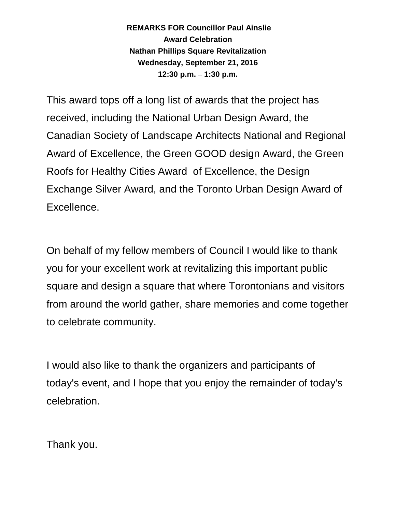This award tops off a long list of awards that the project has received, including the National Urban Design Award, the Canadian Society of Landscape Architects National and Regional Award of Excellence, the Green GOOD design Award, the Green Roofs for Healthy Cities Award of Excellence, the Design Exchange Silver Award, and the Toronto Urban Design Award of Excellence.

On behalf of my fellow members of Council I would like to thank you for your excellent work at revitalizing this important public square and design a square that where Torontonians and visitors from around the world gather, share memories and come together to celebrate community.

I would also like to thank the organizers and participants of today's event, and I hope that you enjoy the remainder of today's celebration.

Thank you.